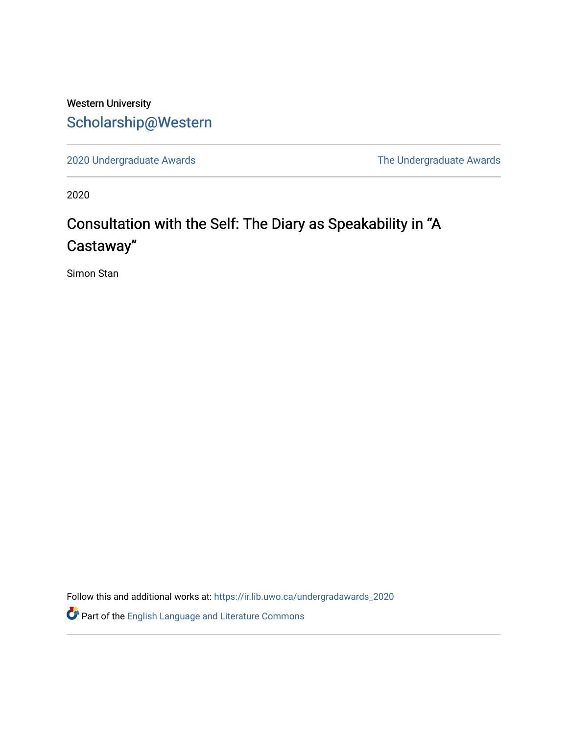# Western University [Scholarship@Western](https://ir.lib.uwo.ca/)

[2020 Undergraduate Awards](https://ir.lib.uwo.ca/undergradawards_2020) [The Undergraduate Awards](https://ir.lib.uwo.ca/ungradawards) 

2020

# Consultation with the Self: The Diary as Speakability in "A Castaway"

Simon Stan

Follow this and additional works at: [https://ir.lib.uwo.ca/undergradawards\\_2020](https://ir.lib.uwo.ca/undergradawards_2020?utm_source=ir.lib.uwo.ca%2Fundergradawards_2020%2F4&utm_medium=PDF&utm_campaign=PDFCoverPages) 

Part of the [English Language and Literature Commons](http://network.bepress.com/hgg/discipline/455?utm_source=ir.lib.uwo.ca%2Fundergradawards_2020%2F4&utm_medium=PDF&utm_campaign=PDFCoverPages)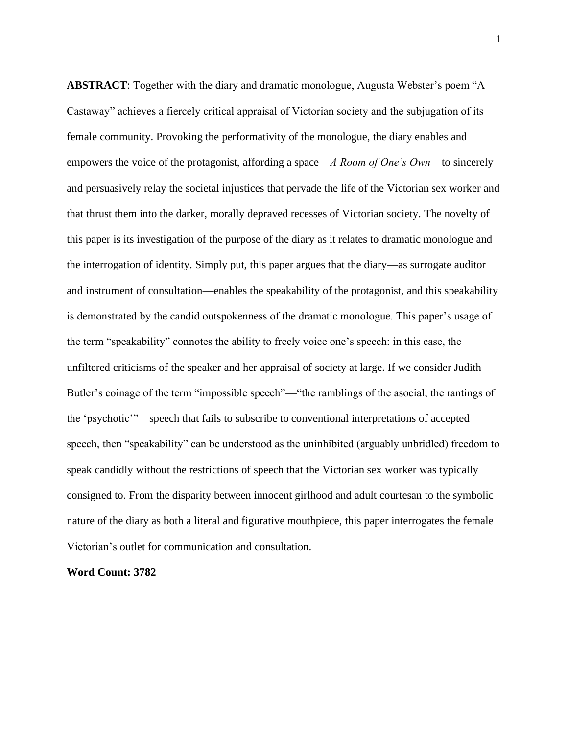**ABSTRACT**: Together with the diary and dramatic monologue, Augusta Webster's poem "A Castaway" achieves a fiercely critical appraisal of Victorian society and the subjugation of its female community. Provoking the performativity of the monologue, the diary enables and empowers the voice of the protagonist, affording a space—*A Room of One's Own*—to sincerely and persuasively relay the societal injustices that pervade the life of the Victorian sex worker and that thrust them into the darker, morally depraved recesses of Victorian society. The novelty of this paper is its investigation of the purpose of the diary as it relates to dramatic monologue and the interrogation of identity. Simply put, this paper argues that the diary—as surrogate auditor and instrument of consultation—enables the speakability of the protagonist, and this speakability is demonstrated by the candid outspokenness of the dramatic monologue. This paper's usage of the term "speakability" connotes the ability to freely voice one's speech: in this case, the unfiltered criticisms of the speaker and her appraisal of society at large. If we consider Judith Butler's coinage of the term "impossible speech"—"the ramblings of the asocial, the rantings of the 'psychotic'"—speech that fails to subscribe to conventional interpretations of accepted speech, then "speakability" can be understood as the uninhibited (arguably unbridled) freedom to speak candidly without the restrictions of speech that the Victorian sex worker was typically consigned to. From the disparity between innocent girlhood and adult courtesan to the symbolic nature of the diary as both a literal and figurative mouthpiece, this paper interrogates the female Victorian's outlet for communication and consultation.

## **Word Count: 3782**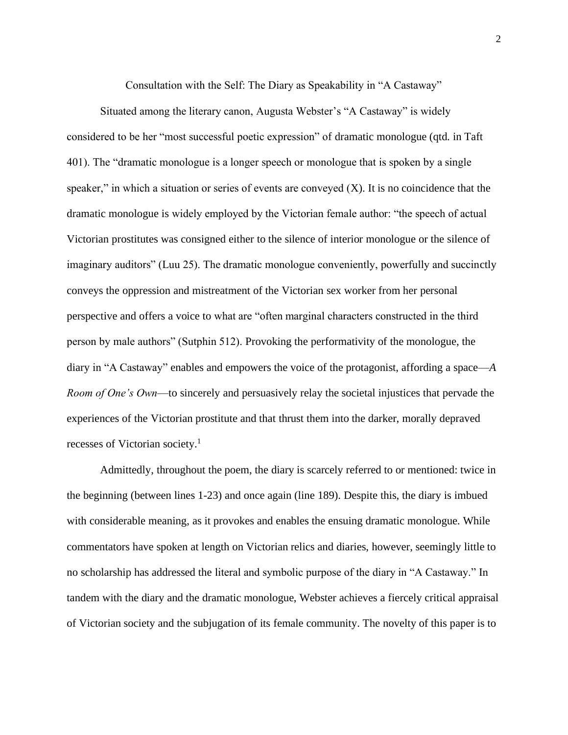Consultation with the Self: The Diary as Speakability in "A Castaway"

Situated among the literary canon, Augusta Webster's "A Castaway" is widely considered to be her "most successful poetic expression" of dramatic monologue (qtd. in Taft 401). The "dramatic monologue is a longer speech or monologue that is spoken by a single speaker," in which a situation or series of events are conveyed  $(X)$ . It is no coincidence that the dramatic monologue is widely employed by the Victorian female author: "the speech of actual Victorian prostitutes was consigned either to the silence of interior monologue or the silence of imaginary auditors" (Luu 25). The dramatic monologue conveniently, powerfully and succinctly conveys the oppression and mistreatment of the Victorian sex worker from her personal perspective and offers a voice to what are "often marginal characters constructed in the third person by male authors" (Sutphin 512). Provoking the performativity of the monologue, the diary in "A Castaway" enables and empowers the voice of the protagonist, affording a space—*A Room of One's Own*—to sincerely and persuasively relay the societal injustices that pervade the experiences of the Victorian prostitute and that thrust them into the darker, morally depraved recesses of Victorian society.<sup>1</sup>

Admittedly, throughout the poem, the diary is scarcely referred to or mentioned: twice in the beginning (between lines 1-23) and once again (line 189). Despite this, the diary is imbued with considerable meaning, as it provokes and enables the ensuing dramatic monologue. While commentators have spoken at length on Victorian relics and diaries, however, seemingly little to no scholarship has addressed the literal and symbolic purpose of the diary in "A Castaway." In tandem with the diary and the dramatic monologue, Webster achieves a fiercely critical appraisal of Victorian society and the subjugation of its female community. The novelty of this paper is to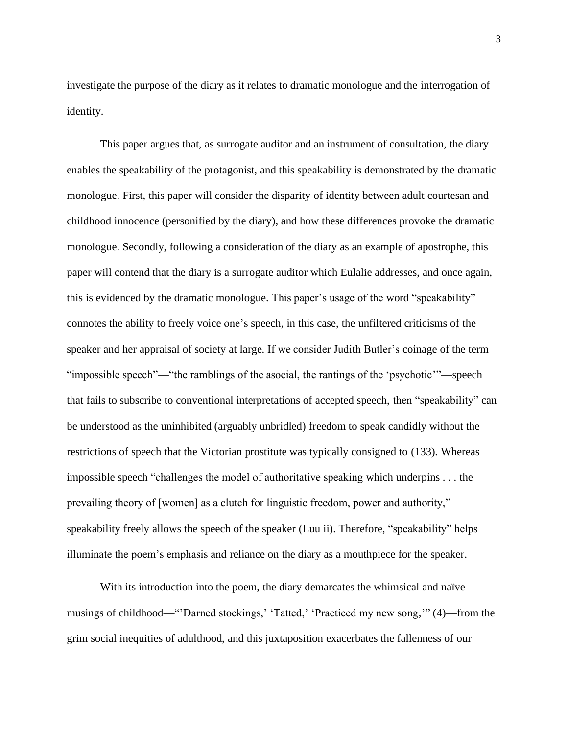investigate the purpose of the diary as it relates to dramatic monologue and the interrogation of identity.

This paper argues that, as surrogate auditor and an instrument of consultation, the diary enables the speakability of the protagonist, and this speakability is demonstrated by the dramatic monologue. First, this paper will consider the disparity of identity between adult courtesan and childhood innocence (personified by the diary), and how these differences provoke the dramatic monologue. Secondly, following a consideration of the diary as an example of apostrophe, this paper will contend that the diary is a surrogate auditor which Eulalie addresses, and once again, this is evidenced by the dramatic monologue. This paper's usage of the word "speakability" connotes the ability to freely voice one's speech, in this case, the unfiltered criticisms of the speaker and her appraisal of society at large. If we consider Judith Butler's coinage of the term "impossible speech"—"the ramblings of the asocial, the rantings of the 'psychotic'"—speech that fails to subscribe to conventional interpretations of accepted speech, then "speakability" can be understood as the uninhibited (arguably unbridled) freedom to speak candidly without the restrictions of speech that the Victorian prostitute was typically consigned to (133). Whereas impossible speech "challenges the model of authoritative speaking which underpins . . . the prevailing theory of [women] as a clutch for linguistic freedom, power and authority," speakability freely allows the speech of the speaker (Luu ii). Therefore, "speakability" helps illuminate the poem's emphasis and reliance on the diary as a mouthpiece for the speaker.

With its introduction into the poem, the diary demarcates the whimsical and naïve musings of childhood—"'Darned stockings,' 'Tatted,' 'Practiced my new song,'" (4)—from the grim social inequities of adulthood, and this juxtaposition exacerbates the fallenness of our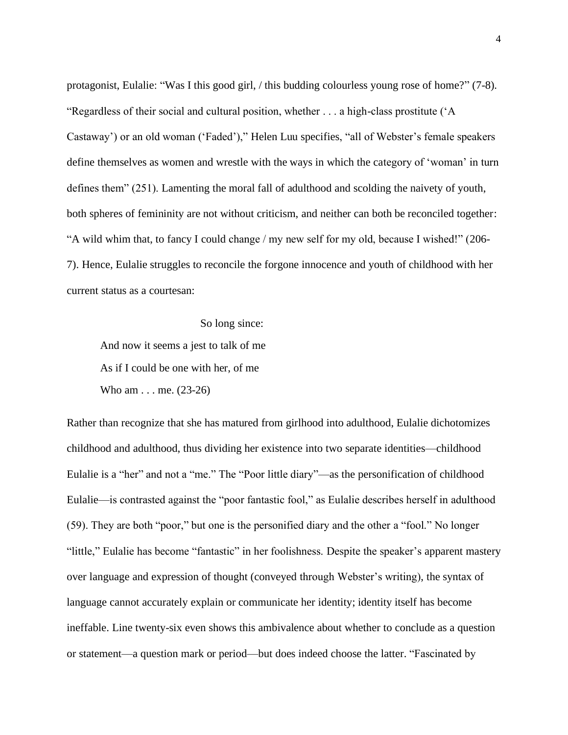protagonist, Eulalie: "Was I this good girl, / this budding colourless young rose of home?" (7-8). "Regardless of their social and cultural position, whether . . . a high-class prostitute ('A Castaway') or an old woman ('Faded')," Helen Luu specifies, "all of Webster's female speakers define themselves as women and wrestle with the ways in which the category of 'woman' in turn defines them" (251). Lamenting the moral fall of adulthood and scolding the naivety of youth, both spheres of femininity are not without criticism, and neither can both be reconciled together: "A wild whim that, to fancy I could change / my new self for my old, because I wished!" (206- 7). Hence, Eulalie struggles to reconcile the forgone innocence and youth of childhood with her current status as a courtesan:

# So long since:

And now it seems a jest to talk of me As if I could be one with her, of me Who am . . . me. (23-26)

Rather than recognize that she has matured from girlhood into adulthood, Eulalie dichotomizes childhood and adulthood, thus dividing her existence into two separate identities—childhood Eulalie is a "her" and not a "me." The "Poor little diary"—as the personification of childhood Eulalie—is contrasted against the "poor fantastic fool," as Eulalie describes herself in adulthood (59). They are both "poor," but one is the personified diary and the other a "fool." No longer "little," Eulalie has become "fantastic" in her foolishness. Despite the speaker's apparent mastery over language and expression of thought (conveyed through Webster's writing), the syntax of language cannot accurately explain or communicate her identity; identity itself has become ineffable. Line twenty-six even shows this ambivalence about whether to conclude as a question or statement—a question mark or period—but does indeed choose the latter. "Fascinated by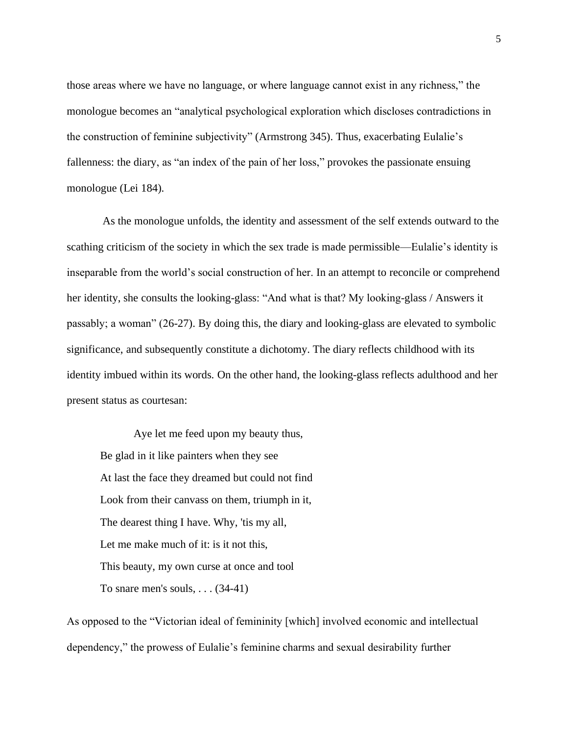those areas where we have no language, or where language cannot exist in any richness," the monologue becomes an "analytical psychological exploration which discloses contradictions in the construction of feminine subjectivity" (Armstrong 345). Thus, exacerbating Eulalie's fallenness: the diary, as "an index of the pain of her loss," provokes the passionate ensuing monologue (Lei 184).

As the monologue unfolds, the identity and assessment of the self extends outward to the scathing criticism of the society in which the sex trade is made permissible—Eulalie's identity is inseparable from the world's social construction of her. In an attempt to reconcile or comprehend her identity, she consults the looking-glass: "And what is that? My looking-glass / Answers it passably; a woman" (26-27). By doing this, the diary and looking-glass are elevated to symbolic significance, and subsequently constitute a dichotomy. The diary reflects childhood with its identity imbued within its words. On the other hand, the looking-glass reflects adulthood and her present status as courtesan:

Aye let me feed upon my beauty thus, Be glad in it like painters when they see At last the face they dreamed but could not find Look from their canvass on them, triumph in it, The dearest thing I have. Why, 'tis my all, Let me make much of it: is it not this. This beauty, my own curse at once and tool To snare men's souls,  $\ldots$  (34-41)

As opposed to the "Victorian ideal of femininity [which] involved economic and intellectual dependency," the prowess of Eulalie's feminine charms and sexual desirability further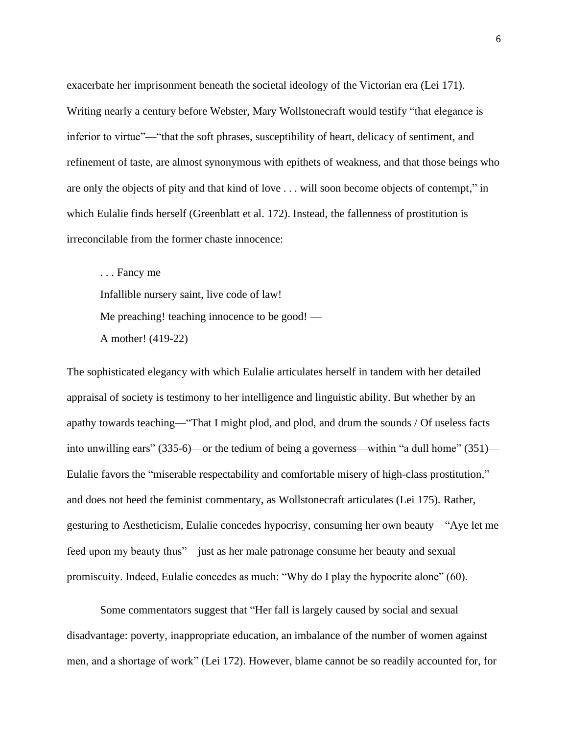exacerbate her imprisonment beneath the societal ideology of the Victorian era (Lei 171). Writing nearly a century before Webster, Mary Wollstonecraft would testify "that elegance is inferior to virtue"—"that the soft phrases, susceptibility of heart, delicacy of sentiment, and refinement of taste, are almost synonymous with epithets of weakness, and that those beings who are only the objects of pity and that kind of love . . . will soon become objects of contempt," in which Eulalie finds herself (Greenblatt et al. 172). Instead, the fallenness of prostitution is irreconcilable from the former chaste innocence:

. . . Fancy me Infallible nursery saint, live code of law! Me preaching! teaching innocence to be good! — A mother! (419-22)

The sophisticated elegancy with which Eulalie articulates herself in tandem with her detailed appraisal of society is testimony to her intelligence and linguistic ability. But whether by an apathy towards teaching—"That I might plod, and plod, and drum the sounds / Of useless facts into unwilling ears" (335-6)—or the tedium of being a governess—within "a dull home" (351)— Eulalie favors the "miserable respectability and comfortable misery of high-class prostitution," and does not heed the feminist commentary, as Wollstonecraft articulates (Lei 175). Rather, gesturing to Aestheticism, Eulalie concedes hypocrisy, consuming her own beauty—"Aye let me feed upon my beauty thus"—just as her male patronage consume her beauty and sexual promiscuity. Indeed, Eulalie concedes as much: "Why do I play the hypocrite alone" (60).

Some commentators suggest that "Her fall is largely caused by social and sexual disadvantage: poverty, inappropriate education, an imbalance of the number of women against men, and a shortage of work" (Lei 172). However, blame cannot be so readily accounted for, for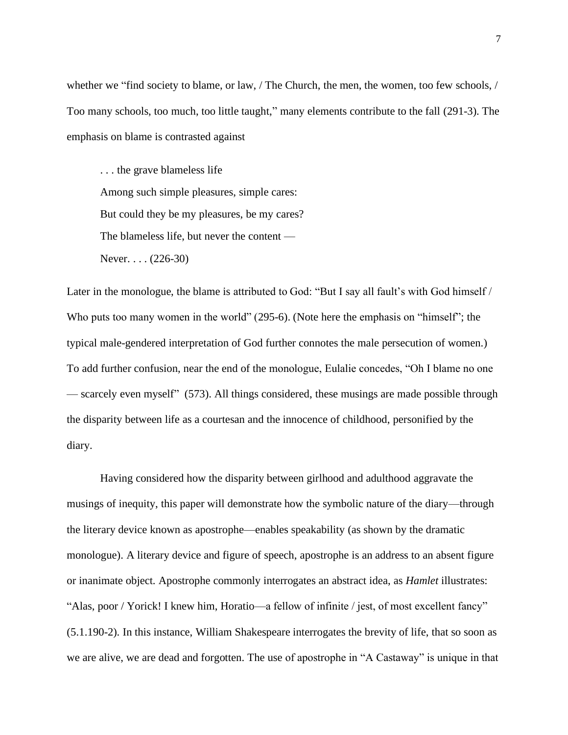whether we "find society to blame, or law, / The Church, the men, the women, too few schools, / Too many schools, too much, too little taught," many elements contribute to the fall (291-3). The emphasis on blame is contrasted against

. . . the grave blameless life Among such simple pleasures, simple cares: But could they be my pleasures, be my cares? The blameless life, but never the content — Never. . . . (226-30)

Later in the monologue, the blame is attributed to God: "But I say all fault's with God himself / Who puts too many women in the world" (295-6). (Note here the emphasis on "himself"; the typical male-gendered interpretation of God further connotes the male persecution of women.) To add further confusion, near the end of the monologue, Eulalie concedes, "Oh I blame no one — scarcely even myself" (573). All things considered, these musings are made possible through the disparity between life as a courtesan and the innocence of childhood, personified by the diary.

Having considered how the disparity between girlhood and adulthood aggravate the musings of inequity, this paper will demonstrate how the symbolic nature of the diary—through the literary device known as apostrophe—enables speakability (as shown by the dramatic monologue). A literary device and figure of speech, apostrophe is an address to an absent figure or inanimate object. Apostrophe commonly interrogates an abstract idea, as *Hamlet* illustrates: "Alas, poor / Yorick! I knew him, Horatio—a fellow of infinite / jest, of most excellent fancy" (5.1.190-2). In this instance, William Shakespeare interrogates the brevity of life, that so soon as we are alive, we are dead and forgotten. The use of apostrophe in "A Castaway" is unique in that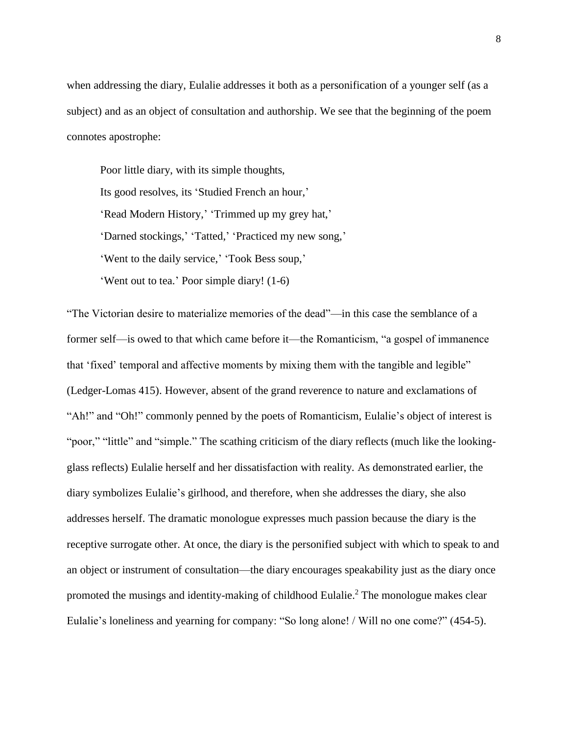when addressing the diary, Eulalie addresses it both as a personification of a younger self (as a subject) and as an object of consultation and authorship. We see that the beginning of the poem connotes apostrophe:

Poor little diary, with its simple thoughts, Its good resolves, its 'Studied French an hour,' 'Read Modern History,' 'Trimmed up my grey hat,' 'Darned stockings,' 'Tatted,' 'Practiced my new song,' 'Went to the daily service,' 'Took Bess soup,' 'Went out to tea.' Poor simple diary! (1-6)

"The Victorian desire to materialize memories of the dead"—in this case the semblance of a former self—is owed to that which came before it—the Romanticism, "a gospel of immanence that 'fixed' temporal and affective moments by mixing them with the tangible and legible" (Ledger-Lomas 415). However, absent of the grand reverence to nature and exclamations of "Ah!" and "Oh!" commonly penned by the poets of Romanticism, Eulalie's object of interest is "poor," "little" and "simple." The scathing criticism of the diary reflects (much like the lookingglass reflects) Eulalie herself and her dissatisfaction with reality. As demonstrated earlier, the diary symbolizes Eulalie's girlhood, and therefore, when she addresses the diary, she also addresses herself. The dramatic monologue expresses much passion because the diary is the receptive surrogate other. At once, the diary is the personified subject with which to speak to and an object or instrument of consultation—the diary encourages speakability just as the diary once promoted the musings and identity-making of childhood Eulalie.<sup>2</sup> The monologue makes clear Eulalie's loneliness and yearning for company: "So long alone! / Will no one come?" (454-5).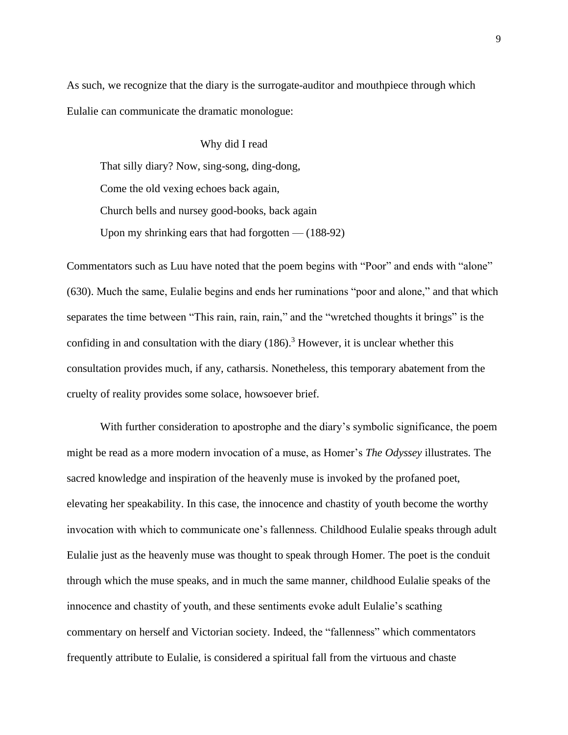As such, we recognize that the diary is the surrogate-auditor and mouthpiece through which Eulalie can communicate the dramatic monologue:

Why did I read That silly diary? Now, sing-song, ding-dong, Come the old vexing echoes back again, Church bells and nursey good-books, back again Upon my shrinking ears that had forgotten  $-$  (188-92)

Commentators such as Luu have noted that the poem begins with "Poor" and ends with "alone" (630). Much the same, Eulalie begins and ends her ruminations "poor and alone," and that which separates the time between "This rain, rain, rain," and the "wretched thoughts it brings" is the confiding in and consultation with the diary  $(186)$ .<sup>3</sup> However, it is unclear whether this consultation provides much, if any, catharsis. Nonetheless, this temporary abatement from the cruelty of reality provides some solace, howsoever brief.

With further consideration to apostrophe and the diary's symbolic significance, the poem might be read as a more modern invocation of a muse, as Homer's *The Odyssey* illustrates. The sacred knowledge and inspiration of the heavenly muse is invoked by the profaned poet, elevating her speakability. In this case, the innocence and chastity of youth become the worthy invocation with which to communicate one's fallenness. Childhood Eulalie speaks through adult Eulalie just as the heavenly muse was thought to speak through Homer. The poet is the conduit through which the muse speaks, and in much the same manner, childhood Eulalie speaks of the innocence and chastity of youth, and these sentiments evoke adult Eulalie's scathing commentary on herself and Victorian society. Indeed, the "fallenness" which commentators frequently attribute to Eulalie, is considered a spiritual fall from the virtuous and chaste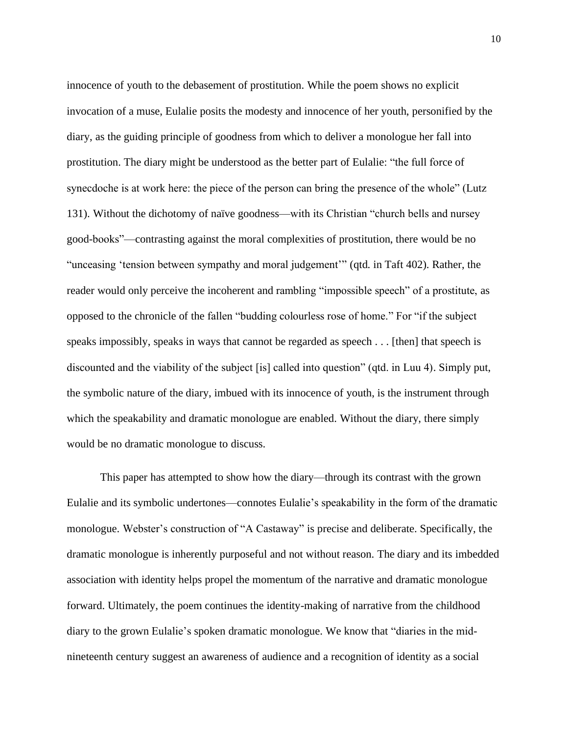innocence of youth to the debasement of prostitution. While the poem shows no explicit invocation of a muse, Eulalie posits the modesty and innocence of her youth, personified by the diary, as the guiding principle of goodness from which to deliver a monologue her fall into prostitution. The diary might be understood as the better part of Eulalie: "the full force of synecdoche is at work here: the piece of the person can bring the presence of the whole" (Lutz 131). Without the dichotomy of naïve goodness—with its Christian "church bells and nursey good-books"—contrasting against the moral complexities of prostitution, there would be no "unceasing 'tension between sympathy and moral judgement'" (qtd. in Taft 402). Rather, the reader would only perceive the incoherent and rambling "impossible speech" of a prostitute, as opposed to the chronicle of the fallen "budding colourless rose of home." For "if the subject speaks impossibly, speaks in ways that cannot be regarded as speech . . . [then] that speech is discounted and the viability of the subject [is] called into question" (qtd. in Luu 4). Simply put, the symbolic nature of the diary, imbued with its innocence of youth, is the instrument through which the speakability and dramatic monologue are enabled. Without the diary, there simply would be no dramatic monologue to discuss.

This paper has attempted to show how the diary—through its contrast with the grown Eulalie and its symbolic undertones—connotes Eulalie's speakability in the form of the dramatic monologue. Webster's construction of "A Castaway" is precise and deliberate. Specifically, the dramatic monologue is inherently purposeful and not without reason. The diary and its imbedded association with identity helps propel the momentum of the narrative and dramatic monologue forward. Ultimately, the poem continues the identity-making of narrative from the childhood diary to the grown Eulalie's spoken dramatic monologue. We know that "diaries in the midnineteenth century suggest an awareness of audience and a recognition of identity as a social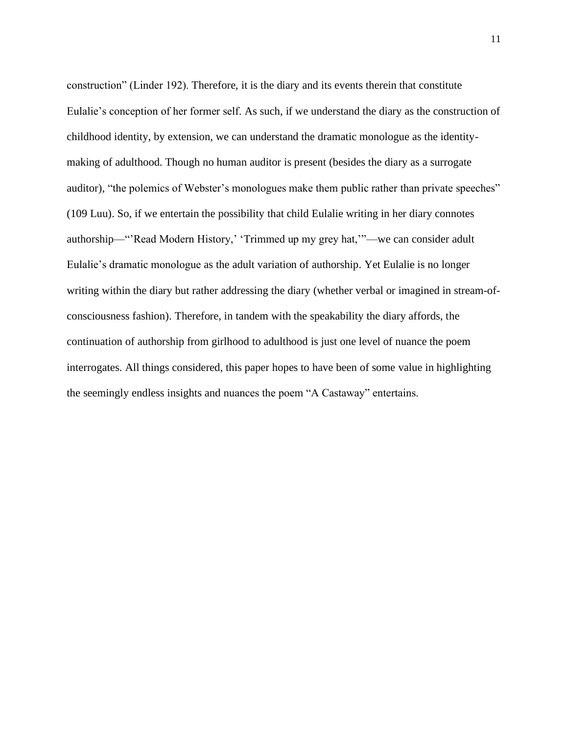construction" (Linder 192). Therefore, it is the diary and its events therein that constitute Eulalie's conception of her former self. As such, if we understand the diary as the construction of childhood identity, by extension, we can understand the dramatic monologue as the identitymaking of adulthood. Though no human auditor is present (besides the diary as a surrogate auditor), "the polemics of Webster's monologues make them public rather than private speeches" (109 Luu). So, if we entertain the possibility that child Eulalie writing in her diary connotes authorship—"'Read Modern History,' 'Trimmed up my grey hat,'"—we can consider adult Eulalie's dramatic monologue as the adult variation of authorship. Yet Eulalie is no longer writing within the diary but rather addressing the diary (whether verbal or imagined in stream-ofconsciousness fashion). Therefore, in tandem with the speakability the diary affords, the continuation of authorship from girlhood to adulthood is just one level of nuance the poem interrogates. All things considered, this paper hopes to have been of some value in highlighting the seemingly endless insights and nuances the poem "A Castaway" entertains.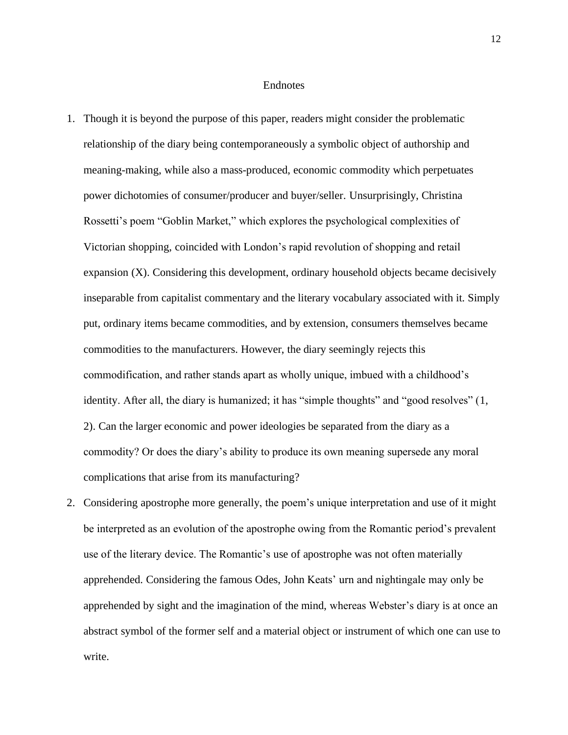#### Endnotes

- 1. Though it is beyond the purpose of this paper, readers might consider the problematic relationship of the diary being contemporaneously a symbolic object of authorship and meaning-making, while also a mass-produced, economic commodity which perpetuates power dichotomies of consumer/producer and buyer/seller. Unsurprisingly, Christina Rossetti's poem "Goblin Market," which explores the psychological complexities of Victorian shopping, coincided with London's rapid revolution of shopping and retail expansion  $(X)$ . Considering this development, ordinary household objects became decisively inseparable from capitalist commentary and the literary vocabulary associated with it. Simply put, ordinary items became commodities, and by extension, consumers themselves became commodities to the manufacturers. However, the diary seemingly rejects this commodification, and rather stands apart as wholly unique, imbued with a childhood's identity. After all, the diary is humanized; it has "simple thoughts" and "good resolves" (1, 2). Can the larger economic and power ideologies be separated from the diary as a commodity? Or does the diary's ability to produce its own meaning supersede any moral complications that arise from its manufacturing?
- 2. Considering apostrophe more generally, the poem's unique interpretation and use of it might be interpreted as an evolution of the apostrophe owing from the Romantic period's prevalent use of the literary device. The Romantic's use of apostrophe was not often materially apprehended. Considering the famous Odes, John Keats' urn and nightingale may only be apprehended by sight and the imagination of the mind, whereas Webster's diary is at once an abstract symbol of the former self and a material object or instrument of which one can use to write.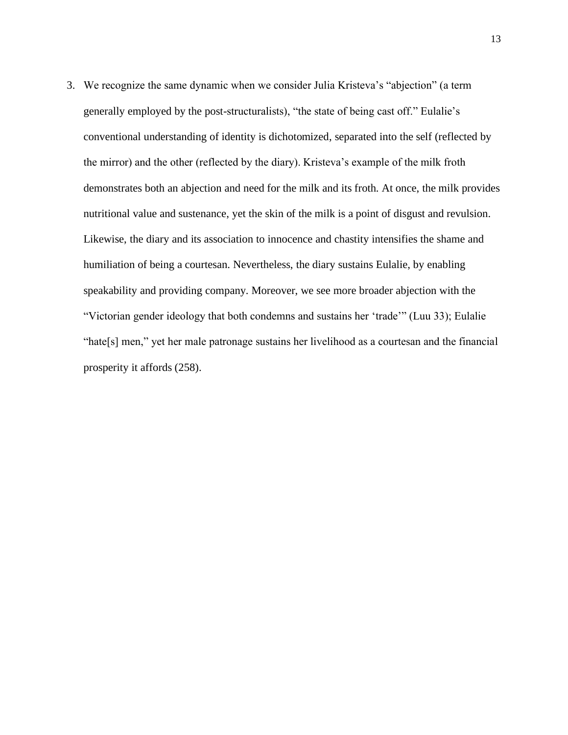3. We recognize the same dynamic when we consider Julia Kristeva's "abjection" (a term generally employed by the post-structuralists), "the state of being cast off." Eulalie's conventional understanding of identity is dichotomized, separated into the self (reflected by the mirror) and the other (reflected by the diary). Kristeva's example of the milk froth demonstrates both an abjection and need for the milk and its froth. At once, the milk provides nutritional value and sustenance, yet the skin of the milk is a point of disgust and revulsion. Likewise, the diary and its association to innocence and chastity intensifies the shame and humiliation of being a courtesan. Nevertheless, the diary sustains Eulalie, by enabling speakability and providing company. Moreover, we see more broader abjection with the "Victorian gender ideology that both condemns and sustains her 'trade'" (Luu 33); Eulalie "hate[s] men," yet her male patronage sustains her livelihood as a courtesan and the financial prosperity it affords (258).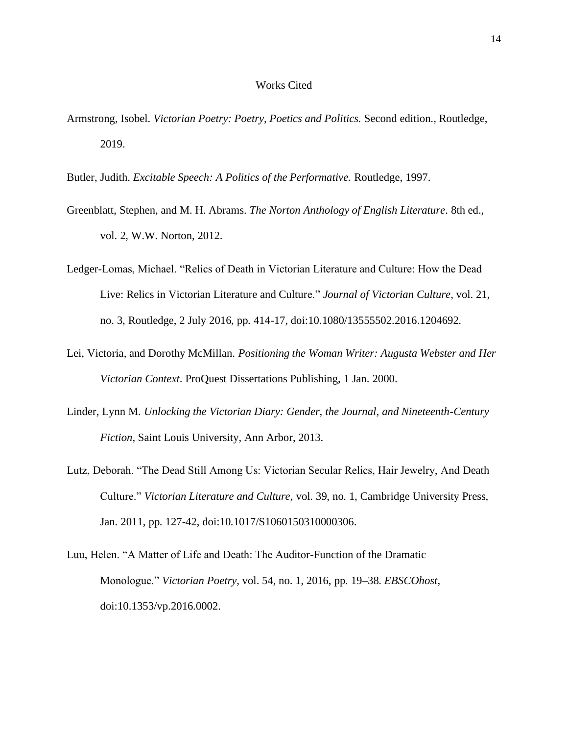### Works Cited

- Armstrong, Isobel. *Victorian Poetry: Poetry, Poetics and Politics.* Second edition., Routledge, 2019.
- Butler, Judith. *Excitable Speech: A Politics of the Performative.* Routledge, 1997.
- Greenblatt, Stephen, and M. H. Abrams. *The Norton Anthology of English Literature*. 8th ed., vol. 2, W.W. Norton, 2012.
- Ledger-Lomas, Michael. "Relics of Death in Victorian Literature and Culture: How the Dead Live: Relics in Victorian Literature and Culture." *Journal of Victorian Culture*, vol. 21, no. 3, Routledge, 2 July 2016, pp. 414-17, doi:10.1080/13555502.2016.1204692.
- Lei, Victoria, and Dorothy McMillan. *Positioning the Woman Writer: Augusta Webster and Her Victorian Context*. ProQuest Dissertations Publishing, 1 Jan. 2000.
- Linder, Lynn M. *Unlocking the Victorian Diary: Gender, the Journal, and Nineteenth-Century Fiction*, Saint Louis University, Ann Arbor, 2013*.*
- Lutz, Deborah. "The Dead Still Among Us: Victorian Secular Relics, Hair Jewelry, And Death Culture." *Victorian Literature and Culture*, vol. 39, no. 1, Cambridge University Press, Jan. 2011, pp. 127-42, doi:10.1017/S1060150310000306.
- Luu, Helen. "A Matter of Life and Death: The Auditor-Function of the Dramatic Monologue." *Victorian Poetry*, vol. 54, no. 1, 2016, pp. 19–38. *EBSCOhost*, doi:10.1353/vp.2016.0002.